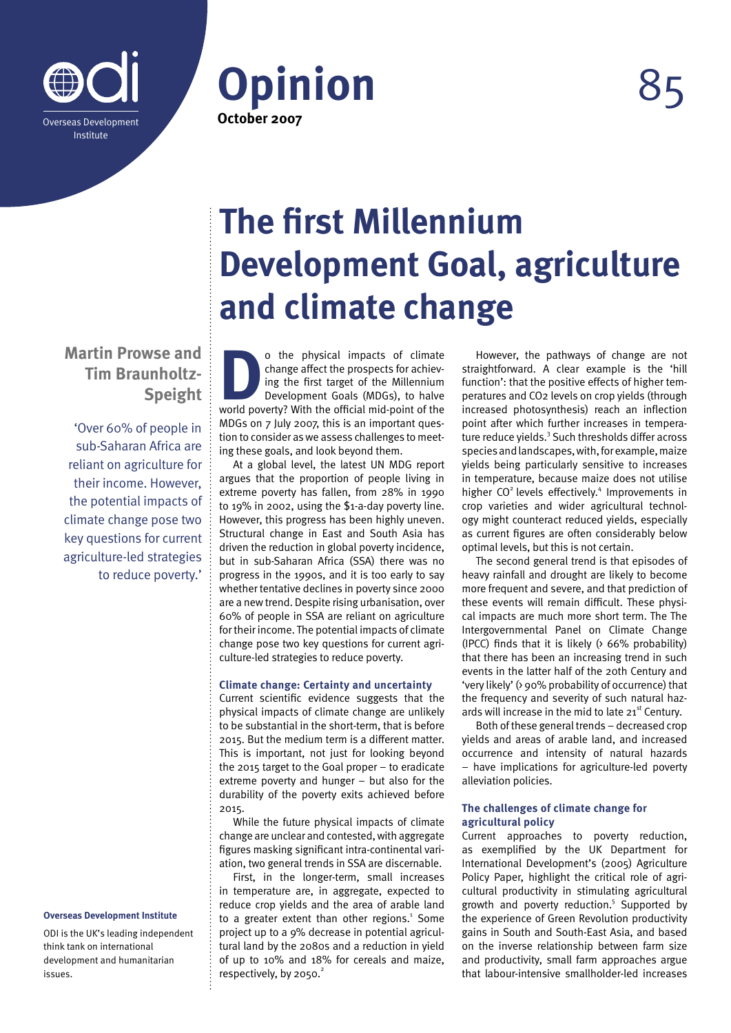

**Opinion** 85 **October 2007**

## **Martin Prowse and Tim Braunholtz-Speight**

'Over 60% of people in sub-Saharan Africa are reliant on agriculture for their income. However, the potential impacts of climate change pose two key questions for current agriculture-led strategies to reduce poverty.'

#### **Overseas Development Institute**

ODI is the UK's leading independent think tank on international development and humanitarian issues.

# **The first Millennium Development Goal, agriculture and climate change**

**D** o the physical impacts of climate<br>change affect the prospects for achiev-<br>ing the first target of the Millennium<br>Development Goals (MDGs), to halve<br>world poverty? With the official mid-point of the change affect the prospects for achieving the first target of the Millennium Development Goals (MDGs), to halve world poverty? With the official mid-point of the MDGs on 7 July 2007, this is an important question to consider as we assess challenges to meeting these goals, and look beyond them.

At a global level, the latest UN MDG report argues that the proportion of people living in extreme poverty has fallen, from 28% in 1990 to 19% in 2002, using the \$1-a-day poverty line. However, this progress has been highly uneven. Structural change in East and South Asia has driven the reduction in global poverty incidence, but in sub-Saharan Africa (SSA) there was no progress in the 1990s, and it is too early to say whether tentative declines in poverty since 2000 are a new trend. Despite rising urbanisation, over 60% of people in SSA are reliant on agriculture for their income. The potential impacts of climate change pose two key questions for current agriculture-led strategies to reduce poverty.

#### **Climate change: Certainty and uncertainty**

Current scientific evidence suggests that the physical impacts of climate change are unlikely to be substantial in the short-term, that is before 2015. But the medium term is a different matter. This is important, not just for looking beyond the 2015 target to the Goal proper – to eradicate extreme poverty and hunger – but also for the durability of the poverty exits achieved before 2015.

While the future physical impacts of climate change are unclear and contested, with aggregate figures masking significant intra-continental variation, two general trends in SSA are discernable.

First, in the longer-term, small increases in temperature are, in aggregate, expected to reduce crop yields and the area of arable land to a greater extent than other regions. $1$  Some project up to a 9% decrease in potential agricultural land by the 2080s and a reduction in yield of up to 10% and 18% for cereals and maize, respectively, by  $2050.<sup>2</sup>$ 

However, the pathways of change are not straightforward. A clear example is the 'hill function': that the positive effects of higher temperatures and CO2 levels on crop yields (through increased photosynthesis) reach an inflection point after which further increases in temperature reduce yields.<sup>3</sup> Such thresholds differ across species and landscapes, with, for example, maize yields being particularly sensitive to increases in temperature, because maize does not utilise higher CO<sup>2</sup> levels effectively.<sup>4</sup> Improvements in crop varieties and wider agricultural technology might counteract reduced yields, especially as current figures are often considerably below optimal levels, but this is not certain.

The second general trend is that episodes of heavy rainfall and drought are likely to become more frequent and severe, and that prediction of these events will remain difficult. These physical impacts are much more short term. The The Intergovernmental Panel on Climate Change (IPCC) finds that it is likely (> 66% probability) that there has been an increasing trend in such events in the latter half of the 20th Century and 'very likely' (> 90% probability of occurrence) that the frequency and severity of such natural hazards will increase in the mid to late  $21<sup>st</sup>$  Century.

Both of these general trends – decreased crop yields and areas of arable land, and increased occurrence and intensity of natural hazards – have implications for agriculture-led poverty alleviation policies.

#### **The challenges of climate change for agricultural policy**

Current approaches to poverty reduction, as exemplified by the UK Department for International Development's (2005) Agriculture Policy Paper, highlight the critical role of agricultural productivity in stimulating agricultural growth and poverty reduction.<sup>5</sup> Supported by the experience of Green Revolution productivity gains in South and South-East Asia, and based on the inverse relationship between farm size and productivity, small farm approaches argue that labour-intensive smallholder-led increases